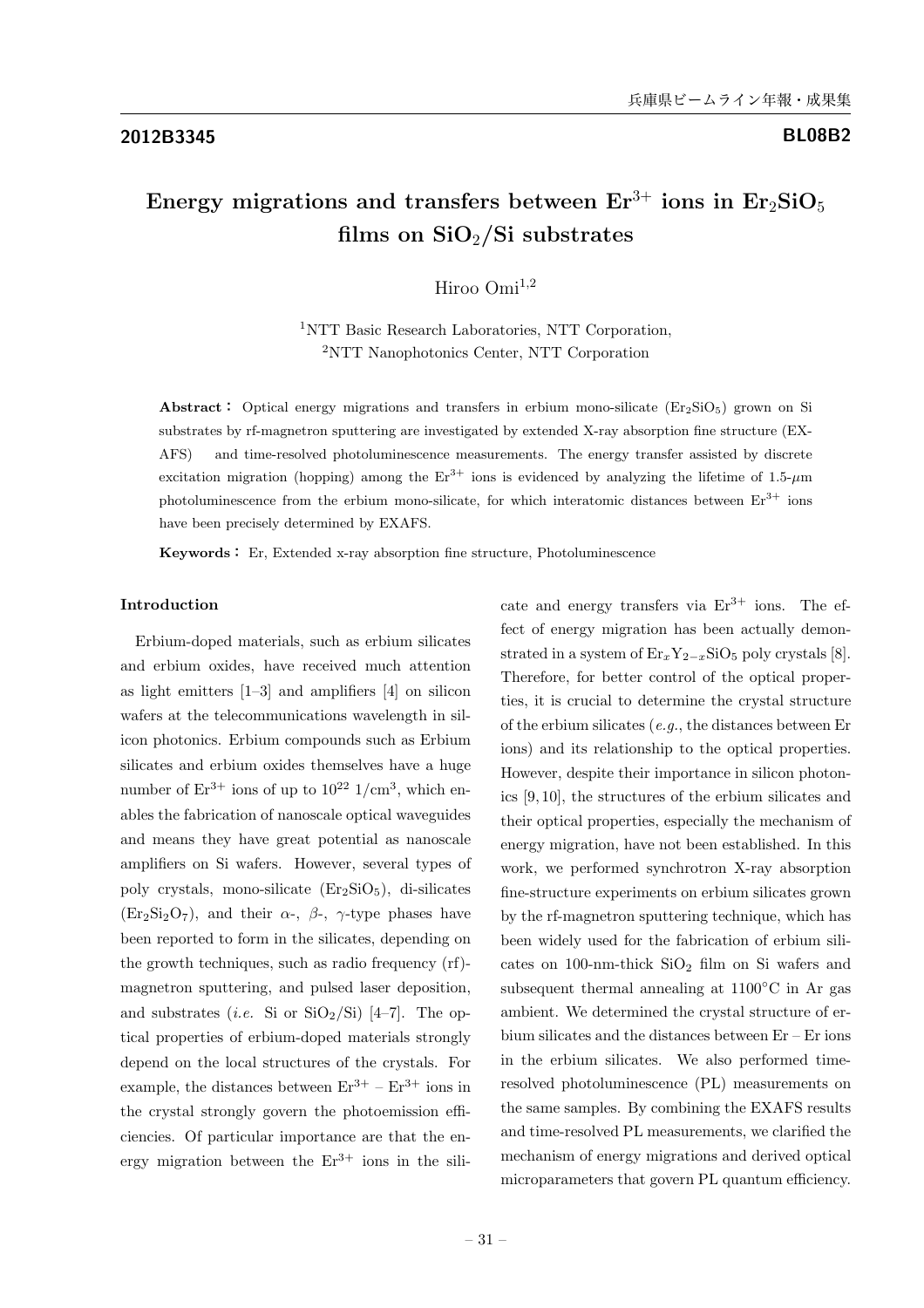# Energy migrations and transfers between  $Er^{3+}$  ions in  $Er_2SiO_5$ films on  $SiO_2/Si$  substrates

Hiroo Omi<sup>1,2</sup>

<sup>1</sup>NTT Basic Research Laboratories, NTT Corporation, <sup>2</sup>NTT Nanophotonics Center, NTT Corporation

Abstract: Optical energy migrations and transfers in erbium mono-silicate  $(Er_2SiO<sub>5</sub>)$  grown on Si substrates by rf-magnetron sputtering are investigated by extended X-ray absorption fine structure (EX-AFS) and time-resolved photoluminescence measurements. The energy transfer assisted by discrete excitation migration (hopping) among the  $Er^{3+}$  ions is evidenced by analyzing the lifetime of 1.5- $\mu$ m photoluminescence from the erbium mono-silicate, for which interatomic distances between  $Er^{3+}$  ions have been precisely determined by EXAFS.

Keywords: Er, Extended x-ray absorption fine structure, Photoluminescence

## Introduction

Erbium-doped materials, such as erbium silicates and erbium oxides, have received much attention as light emitters  $[1-3]$  and amplifiers  $[4]$  on silicon wafers at the telecommunications wavelength in silicon photonics. Erbium compounds such as Erbium silicates and erbium oxides themselves have a huge number of  $Er^{3+}$  ions of up to  $10^{22}$  1/cm<sup>3</sup>, which enables the fabrication of nanoscale optical waveguides and means they have great potential as nanoscale amplifiers on Si wafers. However, several types of poly crystals, mono-silicate  $(Er<sub>2</sub>SiO<sub>5</sub>)$ , di-silicates  $(Er_2Si_2O_7)$ , and their  $\alpha$ -,  $\beta$ -,  $\gamma$ -type phases have been reported to form in the silicates, depending on the growth techniques, such as radio frequency (rf) magnetron sputtering, and pulsed laser deposition, and substrates (*i.e.* Si or  $\text{SiO}_2/\text{Si}$ ) [4–7]. The optical properties of erbium-doped materials strongly depend on the local structures of the crystals. For example, the distances between  $Er^{3+} - Er^{3+}$  ions in the crystal strongly govern the photoemission efficiencies. Of particular importance are that the energy migration between the  $Er^{3+}$  ions in the silicate and energy transfers via  $Er^{3+}$  ions. The effect of energy migration has been actually demonstrated in a system of  $\text{Er}_x Y_{2-x} \text{SiO}_5$  poly crystals [8]. Therefore, for better control of the optical properties, it is crucial to determine the crystal structure of the erbium silicates (e.g., the distances between Er ions) and its relationship to the optical properties. However, despite their importance in silicon photonics [9, 10], the structures of the erbium silicates and their optical properties, especially the mechanism of energy migration, have not been established. In this work, we performed synchrotron X-ray absorption fine-structure experiments on erbium silicates grown by the rf-magnetron sputtering technique, which has been widely used for the fabrication of erbium silicates on 100-nm-thick  $SiO<sub>2</sub>$  film on Si wafers and subsequent thermal annealing at 1100◦C in Ar gas ambient. We determined the crystal structure of erbium silicates and the distances between Er – Er ions in the erbium silicates. We also performed timeresolved photoluminescence (PL) measurements on the same samples. By combining the EXAFS results and time-resolved PL measurements, we clarified the mechanism of energy migrations and derived optical microparameters that govern PL quantum efficiency.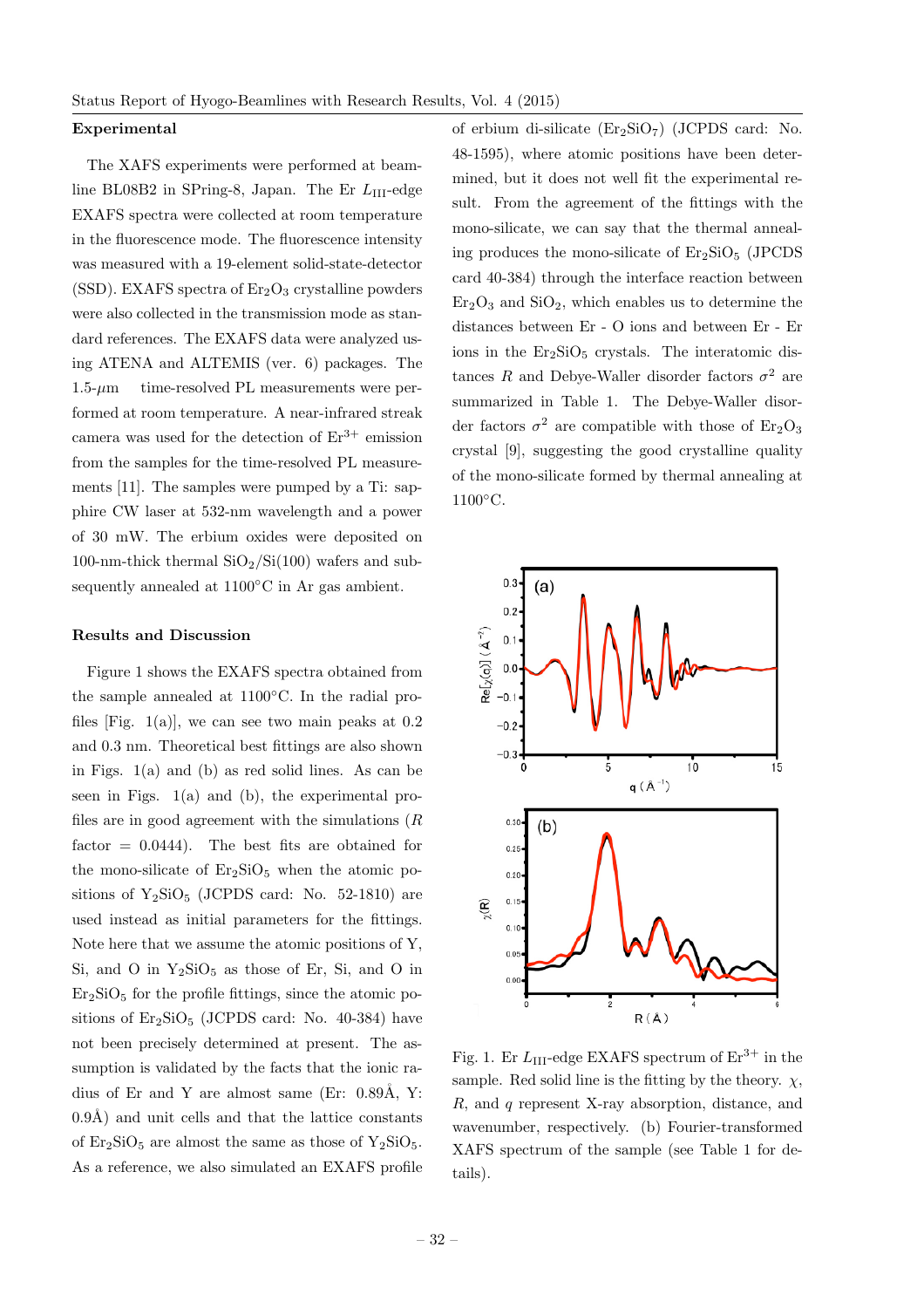### Experimental

The XAFS experiments were performed at beamline BL08B2 in SPring-8, Japan. The Er  $L_{\text{III}}$ -edge EXAFS spectra were collected at room temperature in the fluorescence mode. The fluorescence intensity was measured with a 19-element solid-state-detector (SSD). EXAFS spectra of  $Er<sub>2</sub>O<sub>3</sub>$  crystalline powders were also collected in the transmission mode as standard references. The EXAFS data were analyzed using ATENA and ALTEMIS (ver. 6) packages. The  $1.5-\mu m$  time-resolved PL measurements were performed at room temperature. A near-infrared streak camera was used for the detection of  $Er^{3+}$  emission from the samples for the time-resolved PL measurements [11]. The samples were pumped by a Ti: sapphire CW laser at 532-nm wavelength and a power of 30 mW. The erbium oxides were deposited on 100-nm-thick thermal  $SiO_2/Si(100)$  wafers and subsequently annealed at 1100◦C in Ar gas ambient.

#### Results and Discussion

Figure 1 shows the EXAFS spectra obtained from the sample annealed at 1100◦C. In the radial profiles [Fig.  $1(a)$ ], we can see two main peaks at 0.2 and 0.3 nm. Theoretical best fittings are also shown in Figs. 1(a) and (b) as red solid lines. As can be seen in Figs. 1(a) and (b), the experimental profiles are in good agreement with the simulations  $(R)$ factor  $= 0.0444$ . The best fits are obtained for the mono-silicate of  $Er<sub>2</sub>SiO<sub>5</sub>$  when the atomic positions of  $Y_2SiO_5$  (JCPDS card: No. 52-1810) are used instead as initial parameters for the fittings. Note here that we assume the atomic positions of Y, Si, and O in  $Y_2$ SiO<sub>5</sub> as those of Er, Si, and O in  $Er<sub>2</sub>SiO<sub>5</sub>$  for the profile fittings, since the atomic positions of  $Er<sub>2</sub>SiO<sub>5</sub>$  (JCPDS card: No. 40-384) have not been precisely determined at present. The assumption is validated by the facts that the ionic radius of Er and Y are almost same (Er:  $0.89\text{\AA}$ , Y:  $(0.9\text{\AA})$  and unit cells and that the lattice constants of  $Er_2SiO_5$  are almost the same as those of  $Y_2SiO_5$ . As a reference, we also simulated an EXAFS profile of erbium di-silicate  $(Er<sub>2</sub>SiO<sub>7</sub>)$  (JCPDS card: No. 48-1595), where atomic positions have been determined, but it does not well fit the experimental result. From the agreement of the fittings with the mono-silicate, we can say that the thermal annealing produces the mono-silicate of  $Er<sub>2</sub>SiO<sub>5</sub>$  (JPCDS) card 40-384) through the interface reaction between  $Er<sub>2</sub>O<sub>3</sub>$  and  $SiO<sub>2</sub>$ , which enables us to determine the distances between Er - O ions and between Er - Er ions in the  $Er<sub>2</sub>SiO<sub>5</sub> crystals.$  The interatomic distances R and Debye-Waller disorder factors  $\sigma^2$  are summarized in Table 1. The Debye-Waller disorder factors  $\sigma^2$  are compatible with those of Er<sub>2</sub>O<sub>3</sub> crystal [9], suggesting the good crystalline quality of the mono-silicate formed by thermal annealing at 1100◦C.



Fig. 1. Er  $L_{\text{III}}$ -edge EXAFS spectrum of  $\text{Er}^{3+}$  in the sample. Red solid line is the fitting by the theory.  $\chi$ , R, and q represent X-ray absorption, distance, and wavenumber, respectively. (b) Fourier-transformed XAFS spectrum of the sample (see Table 1 for details).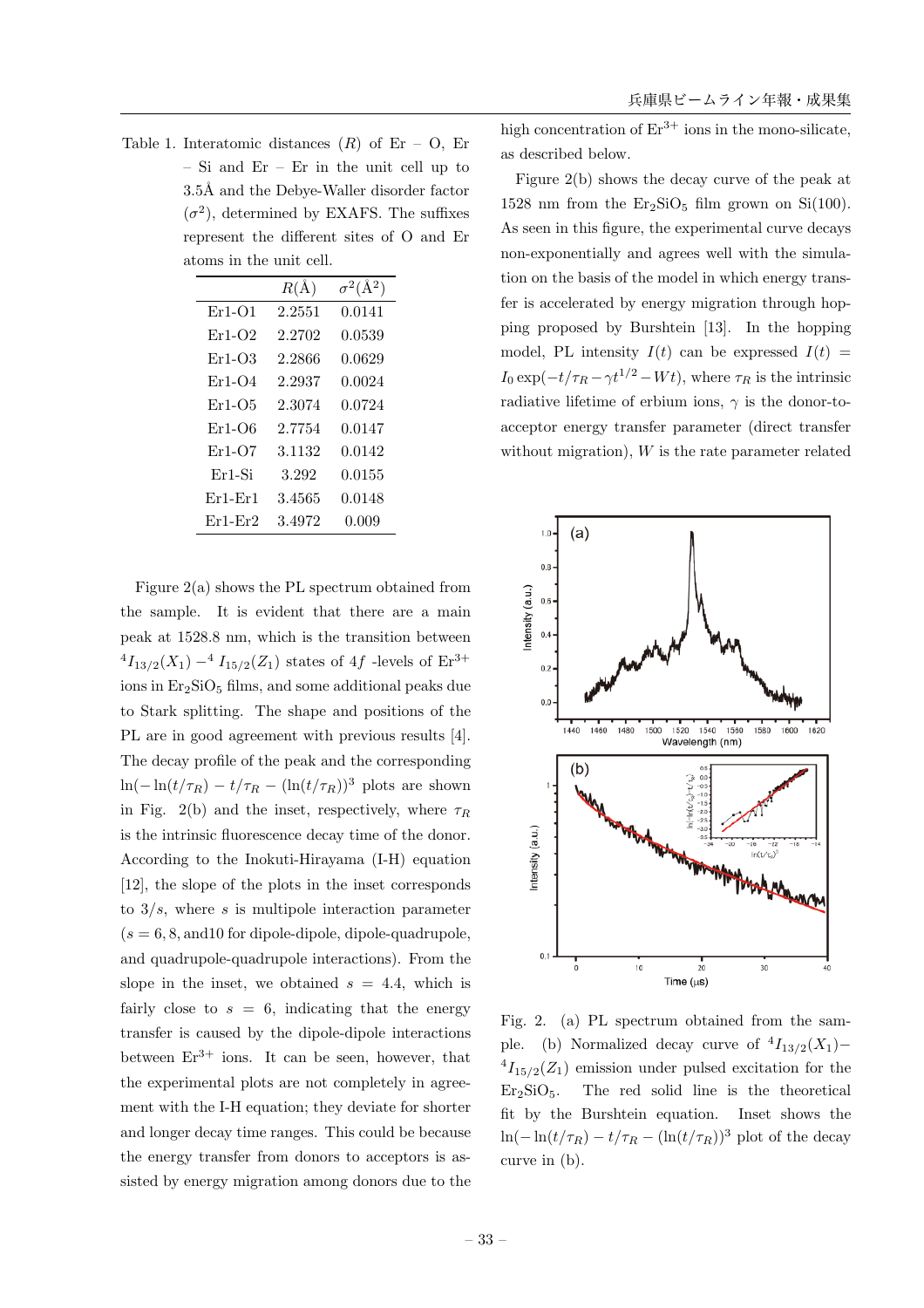Table 1. Interatomic distances  $(R)$  of Er – O, Er – Si and Er – Er in the unit cell up to 3.5Å and the Debye-Waller disorder factor  $(\sigma^2)$ , determined by EXAFS. The suffixes represent the different sites of O and Er atoms in the unit cell.

|           | $R(\AA)$ | $\sigma^2(\rm{\AA}^2)$ |
|-----------|----------|------------------------|
| $Er1-O1$  | 2.2551   | 0.0141                 |
| $Er1-O2$  | 2.2702   | 0.0539                 |
| $Er1-O3$  | 2.2866   | 0.0629                 |
| $Er1-O4$  | 2.2937   | 0.0024                 |
| $Er1-O5$  | 2.3074   | 0.0724                 |
| $Er1-O6$  | 2.7754   | 0.0147                 |
| $Er1-O7$  | 3.1132   | 0.0142                 |
| $Er1-Si$  | 3.292    | 0.0155                 |
| $Er1-Fr1$ | 3.4565   | 0.0148                 |
| $Er1-Fr2$ | 3.4972   | 0.009                  |

Figure 2(a) shows the PL spectrum obtained from the sample. It is evident that there are a main peak at 1528.8 nm, which is the transition between  $^{4}I_{13/2}(X_1)$  –  $^{4}I_{15/2}(Z_1)$  states of 4f -levels of  $\mathrm{Er}^{3+}$ ions in  $Er<sub>2</sub>SiO<sub>5</sub>$  films, and some additional peaks due to Stark splitting. The shape and positions of the PL are in good agreement with previous results [4]. The decay profile of the peak and the corresponding  $\ln(-\ln(t/\tau_R) - t/\tau_R - (\ln(t/\tau_R))^3$  plots are shown in Fig. 2(b) and the inset, respectively, where  $\tau_R$ is the intrinsic fluorescence decay time of the donor. According to the Inokuti-Hirayama (I-H) equation [12], the slope of the plots in the inset corresponds to  $3/s$ , where s is multipole interaction parameter  $(s = 6, 8, \text{and} 10 \text{ for dipole-dipole, dipole-quadrupole},$ and quadrupole-quadrupole interactions). From the slope in the inset, we obtained  $s = 4.4$ , which is fairly close to  $s = 6$ , indicating that the energy transfer is caused by the dipole-dipole interactions between  $Er^{3+}$  ions. It can be seen, however, that the experimental plots are not completely in agreement with the I-H equation; they deviate for shorter and longer decay time ranges. This could be because the energy transfer from donors to acceptors is assisted by energy migration among donors due to the

high concentration of  $Er^{3+}$  ions in the mono-silicate, as described below.

Figure 2(b) shows the decay curve of the peak at 1528 nm from the  $Er_2SiO_5$  film grown on  $Si(100)$ . As seen in this figure, the experimental curve decays non-exponentially and agrees well with the simulation on the basis of the model in which energy transfer is accelerated by energy migration through hopping proposed by Burshtein [13]. In the hopping model, PL intensity  $I(t)$  can be expressed  $I(t)$  =  $I_0 \exp(-t/\tau_R - \gamma t^{1/2} - Wt)$ , where  $\tau_R$  is the intrinsic radiative lifetime of erbium ions,  $\gamma$  is the donor-toacceptor energy transfer parameter (direct transfer without migration), W is the rate parameter related



Fig. 2. (a) PL spectrum obtained from the sample. (b) Normalized decay curve of  $^{4}I_{13/2}(X_1)$ −  $^{4}I_{15/2}(Z_1)$  emission under pulsed excitation for the  $Er<sub>2</sub>SiO<sub>5</sub>$ . The red solid line is the theoretical fit by the Burshtein equation. Inset shows the  $\ln(-\ln(t/\tau_R) - t/\tau_R - (\ln(t/\tau_R))^3$  plot of the decay curve in (b).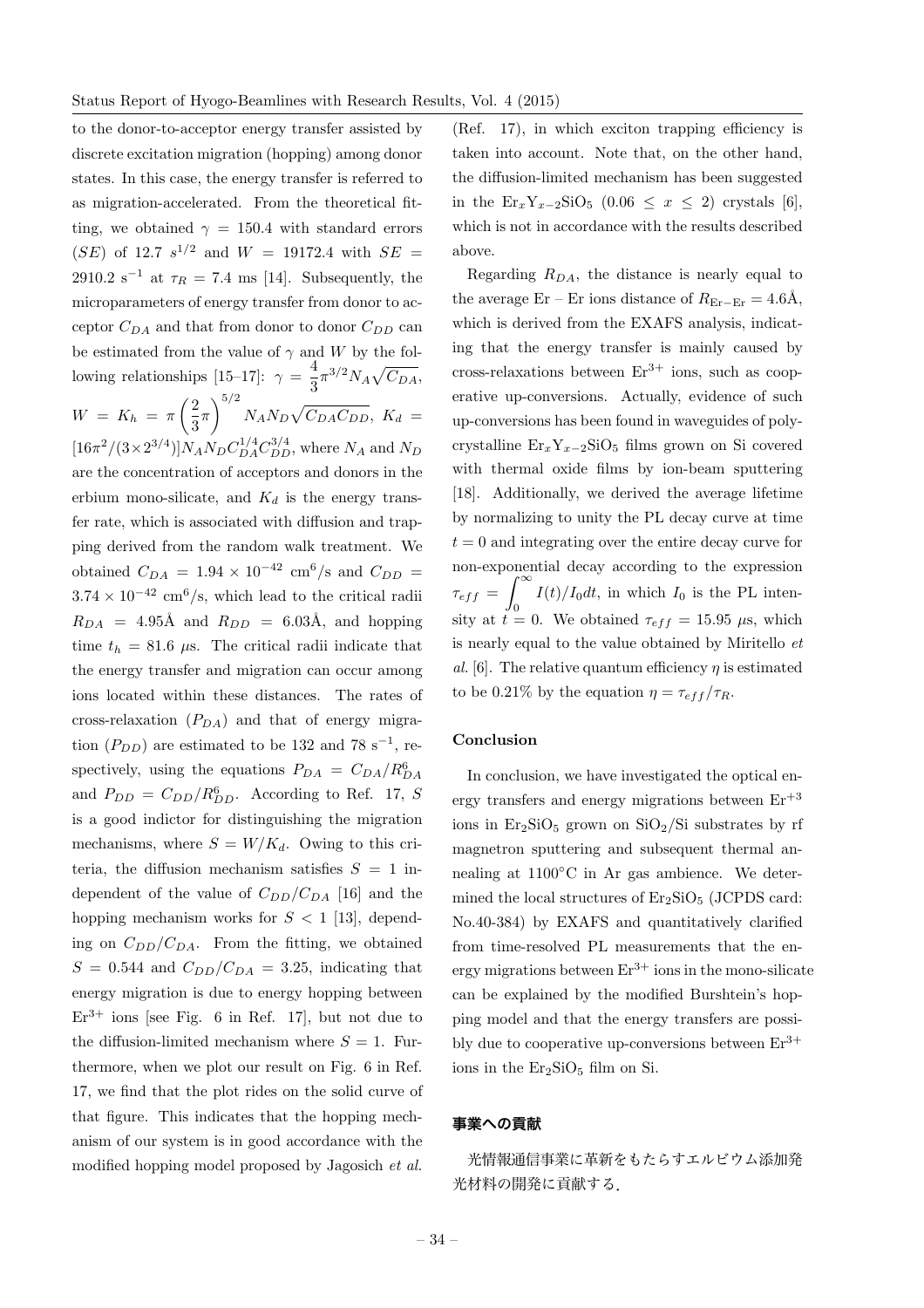to the donor-to-acceptor energy transfer assisted by discrete excitation migration (hopping) among donor states. In this case, the energy transfer is referred to as migration-accelerated. From the theoretical fitting, we obtained  $\gamma = 150.4$  with standard errors (SE) of 12.7  $s^{1/2}$  and  $W = 19172.4$  with  $SE =$ 2910.2 s<sup>-1</sup> at  $\tau_R = 7.4$  ms [14]. Subsequently, the microparameters of energy transfer from donor to acceptor  $C_{DA}$  and that from donor to donor  $C_{DD}$  can be estimated from the value of  $\gamma$  and W by the following relationships [15–17]:  $\gamma = \frac{4}{3} \pi^{3/2} N_A \sqrt{C_{DA}}$ ,  $W = K_h = \pi \left( \frac{2}{2} \right)$  $\frac{1}{3}\pi$  $\sqrt{5/2}$  $N_A N_D \sqrt{C_{DA} C_{DD}}$ ,  $K_d =$  $[16\pi^2/(3\times2^{3/4})]N_A N_D C_{DA}^{1/4} C_{DD}^{3/4}$ , where  $N_A$  and  $N_D$ are the concentration of acceptors and donors in the erbium mono-silicate, and  $K_d$  is the energy transfer rate, which is associated with diffusion and trapping derived from the random walk treatment. We obtained  $C_{DA} = 1.94 \times 10^{-42}$  cm<sup>6</sup>/s and  $C_{DD} =$  $3.74 \times 10^{-42}$  cm<sup>6</sup>/s, which lead to the critical radii  $R_{DA}$  = 4.95Å and  $R_{DD}$  = 6.03Å, and hopping time  $t_h = 81.6 \mu s$ . The critical radii indicate that the energy transfer and migration can occur among ions located within these distances. The rates of cross-relaxation  $(P_{DA})$  and that of energy migration  $(P_{DD})$  are estimated to be 132 and 78 s<sup>-1</sup>, respectively, using the equations  $P_{DA} = C_{DA} / R_{DA}^6$ and  $P_{DD} = C_{DD}/R_{DD}^6$ . According to Ref. 17, S is a good indictor for distinguishing the migration mechanisms, where  $S = W/K_d$ . Owing to this criteria, the diffusion mechanism satisfies  $S = 1$  independent of the value of  $C_{DD}/C_{DA}$  [16] and the hopping mechanism works for  $S < 1$  [13], depending on  $C_{DD}/C_{DA}$ . From the fitting, we obtained  $S = 0.544$  and  $C_{DD}/C_{DA} = 3.25$ , indicating that energy migration is due to energy hopping between  $Er<sup>3+</sup>$  ions [see Fig. 6 in Ref. 17], but not due to the diffusion-limited mechanism where  $S = 1$ . Furthermore, when we plot our result on Fig. 6 in Ref. 17, we find that the plot rides on the solid curve of that figure. This indicates that the hopping mechanism of our system is in good accordance with the modified hopping model proposed by Jagosich et al.

(Ref. 17), in which exciton trapping efficiency is taken into account. Note that, on the other hand, the diffusion-limited mechanism has been suggested in the  $\text{Er}_x Y_{x-2} \text{SiO}_5$  (0.06  $\leq x \leq 2$ ) crystals [6], which is not in accordance with the results described above.

Regarding  $R_{DA}$ , the distance is nearly equal to the average Er – Er ions distance of  $R_{\text{Er}-\text{Er}} = 4.6\text{\AA}$ , which is derived from the EXAFS analysis, indicating that the energy transfer is mainly caused by cross-relaxations between  $Er^{3+}$  ions, such as cooperative up-conversions. Actually, evidence of such up-conversions has been found in waveguides of polycrystalline  $\text{Er}_x Y_{x-2} \text{SiO}_5$  films grown on Si covered with thermal oxide films by ion-beam sputtering [18]. Additionally, we derived the average lifetime by normalizing to unity the PL decay curve at time  $t = 0$  and integrating over the entire decay curve for non-exponential decay according to the expression  $\tau_{eff}$  =  $\int_0^\infty$  $I(t)/I_0 dt$ , in which  $I_0$  is the PL intensity at  $t = 0$ . We obtained  $\tau_{eff} = 15.95 \mu s$ , which is nearly equal to the value obtained by Miritello et al. [6]. The relative quantum efficiency  $\eta$  is estimated to be 0.21% by the equation  $\eta = \tau_{eff}/\tau_R$ .

# Conclusion

In conclusion, we have investigated the optical energy transfers and energy migrations between  $Er^{+3}$ ions in  $Er<sub>2</sub>SiO<sub>5</sub>$  grown on  $SiO<sub>2</sub>/Si$  substrates by rf magnetron sputtering and subsequent thermal annealing at 1100◦C in Ar gas ambience. We determined the local structures of  $Er<sub>2</sub>SiO<sub>5</sub>$  (JCPDS card: No.40-384) by EXAFS and quantitatively clarified from time-resolved PL measurements that the energy migrations between  $Er^{3+}$  ions in the mono-silicate can be explained by the modified Burshtein's hopping model and that the energy transfers are possibly due to cooperative up-conversions between  $Er^{3+}$ ions in the  $Er<sub>2</sub>SiO<sub>5</sub> film on Si.$ 

# 事業への貢献

光情報通信事業に革新をもたらすエルビウム添加発 光材料の開発に貢献する.